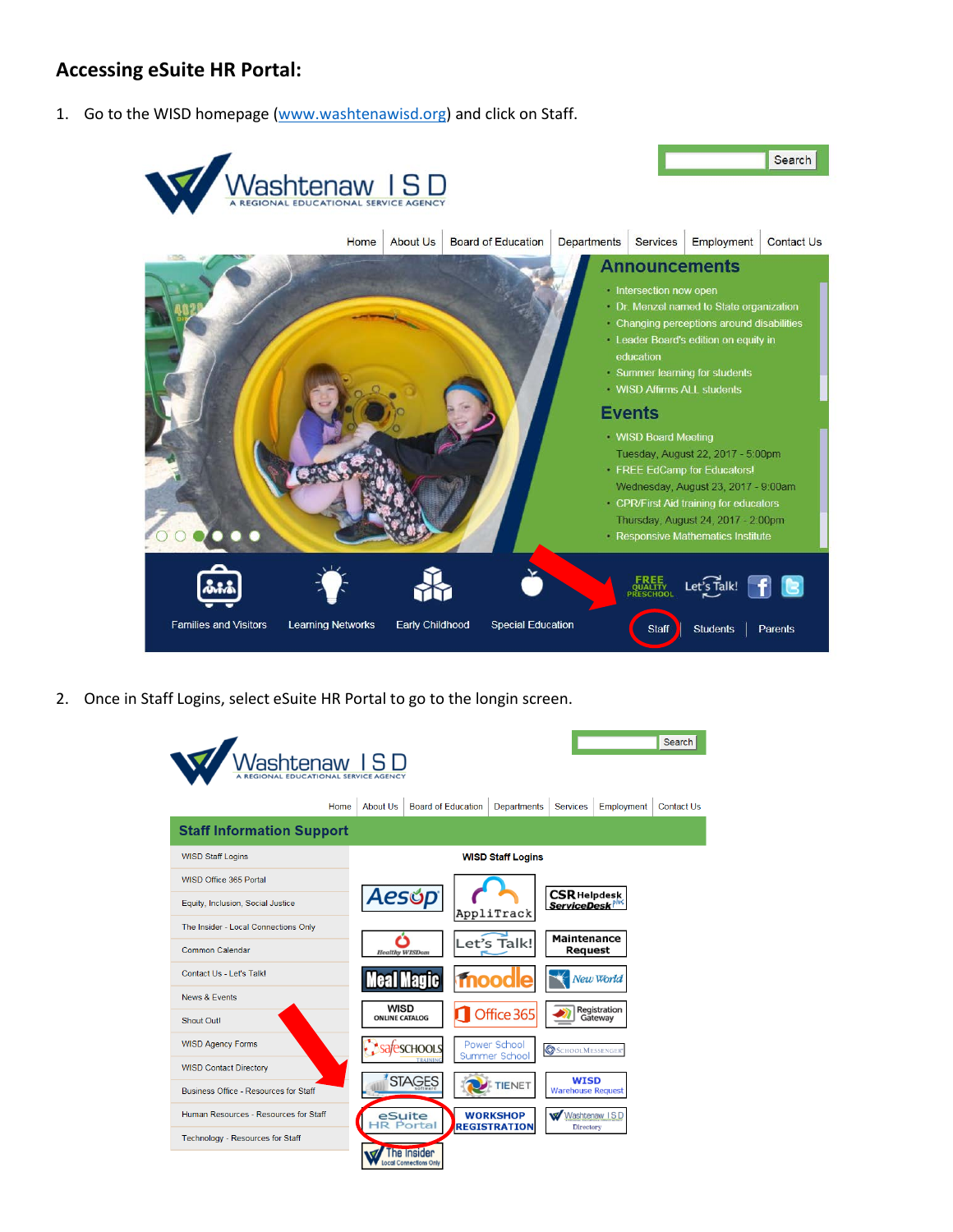# **Accessing eSuite HR Portal:**

1. Go to the WISD homepage [\(www.washtenawisd.org\)](http://www.washtenawisd.org/) and click on Staff.



2. Once in Staff Logins, select eSuite HR Portal to go to the longin screen.

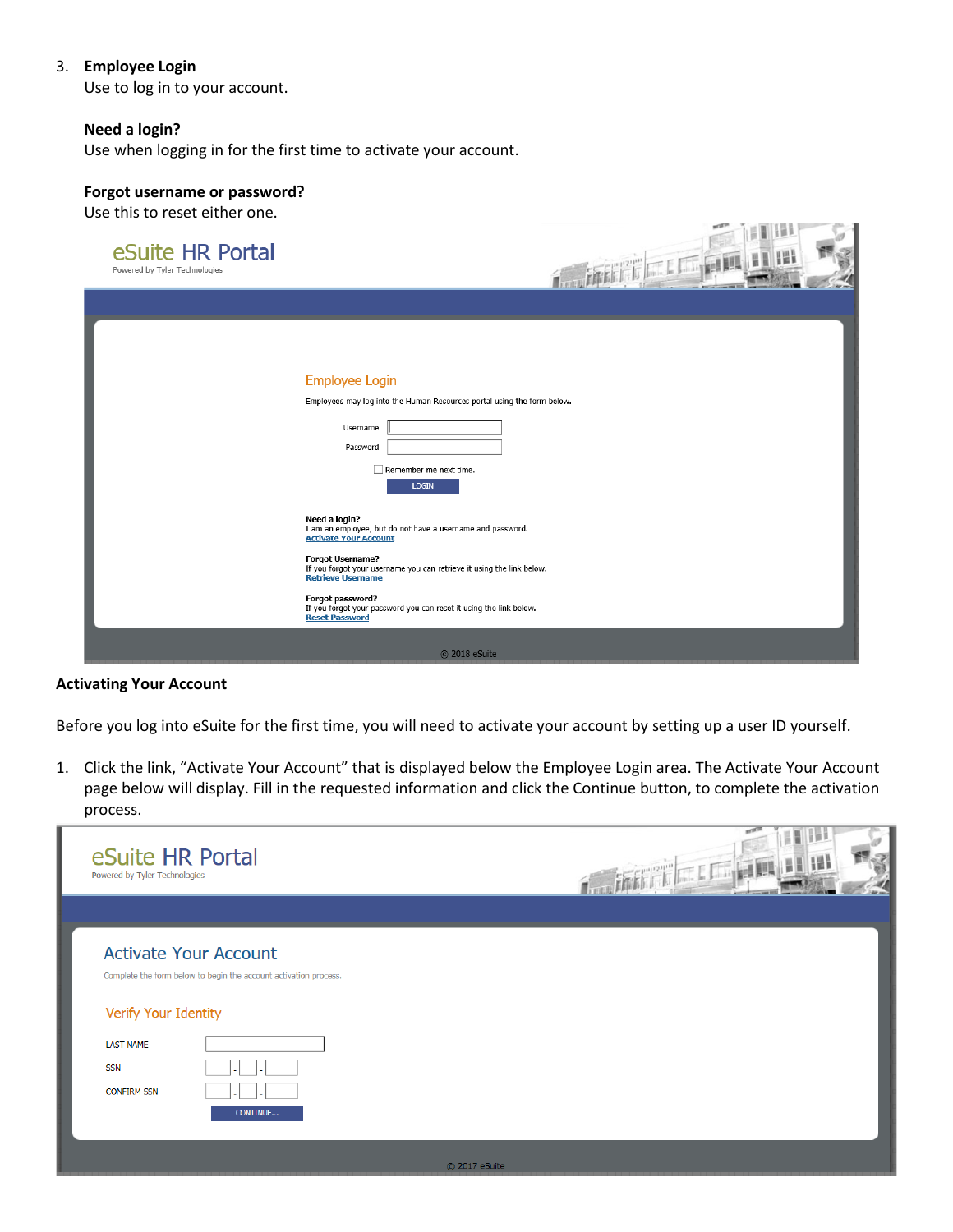## 3. **Employee Login**

Use to log in to your account.

#### **Need a login?**

Use when logging in for the first time to activate your account.

## **Forgot username or password?**

Use this to reset either one.

| eSuite HR Portal<br>Powered by Tyler Technologies | <b>C. Linger</b>                                                                                                                                                                                                                                                                                                                                               |
|---------------------------------------------------|----------------------------------------------------------------------------------------------------------------------------------------------------------------------------------------------------------------------------------------------------------------------------------------------------------------------------------------------------------------|
|                                                   |                                                                                                                                                                                                                                                                                                                                                                |
|                                                   | Employee Login<br>Employees may log into the Human Resources portal using the form below.<br>Username<br>Password<br>Remember me next time.<br><b>LOGIN</b>                                                                                                                                                                                                    |
|                                                   | Need a login?<br>I am an employee, but do not have a username and password.<br><b>Activate Your Account</b><br><b>Forgot Username?</b><br>If you forgot your username you can retrieve it using the link below.<br><b>Retrieve Username</b><br>Forgot password?<br>If you forgot your password you can reset it using the link below.<br><b>Reset Password</b> |
|                                                   | C 2018 eSuite                                                                                                                                                                                                                                                                                                                                                  |

**CONTRACTOR** 

# **Activating Your Account**

Before you log into eSuite for the first time, you will need to activate your account by setting up a user ID yourself.

1. Click the link, "Activate Your Account" that is displayed below the Employee Login area. The Activate Your Account page below will display. Fill in the requested information and click the Continue button, to complete the activation process.

| eSuite HR Portal<br>Powered by Tyler Technologies                            |                                                                                                              |               | w<br><b>The Lines</b> |
|------------------------------------------------------------------------------|--------------------------------------------------------------------------------------------------------------|---------------|-----------------------|
| Verify Your Identity<br><b>LAST NAME</b><br><b>SSN</b><br><b>CONFIRM SSN</b> | <b>Activate Your Account</b><br>Complete the form below to begin the account activation process.<br>CONTINUE |               |                       |
|                                                                              |                                                                                                              | C 2017 eSuite |                       |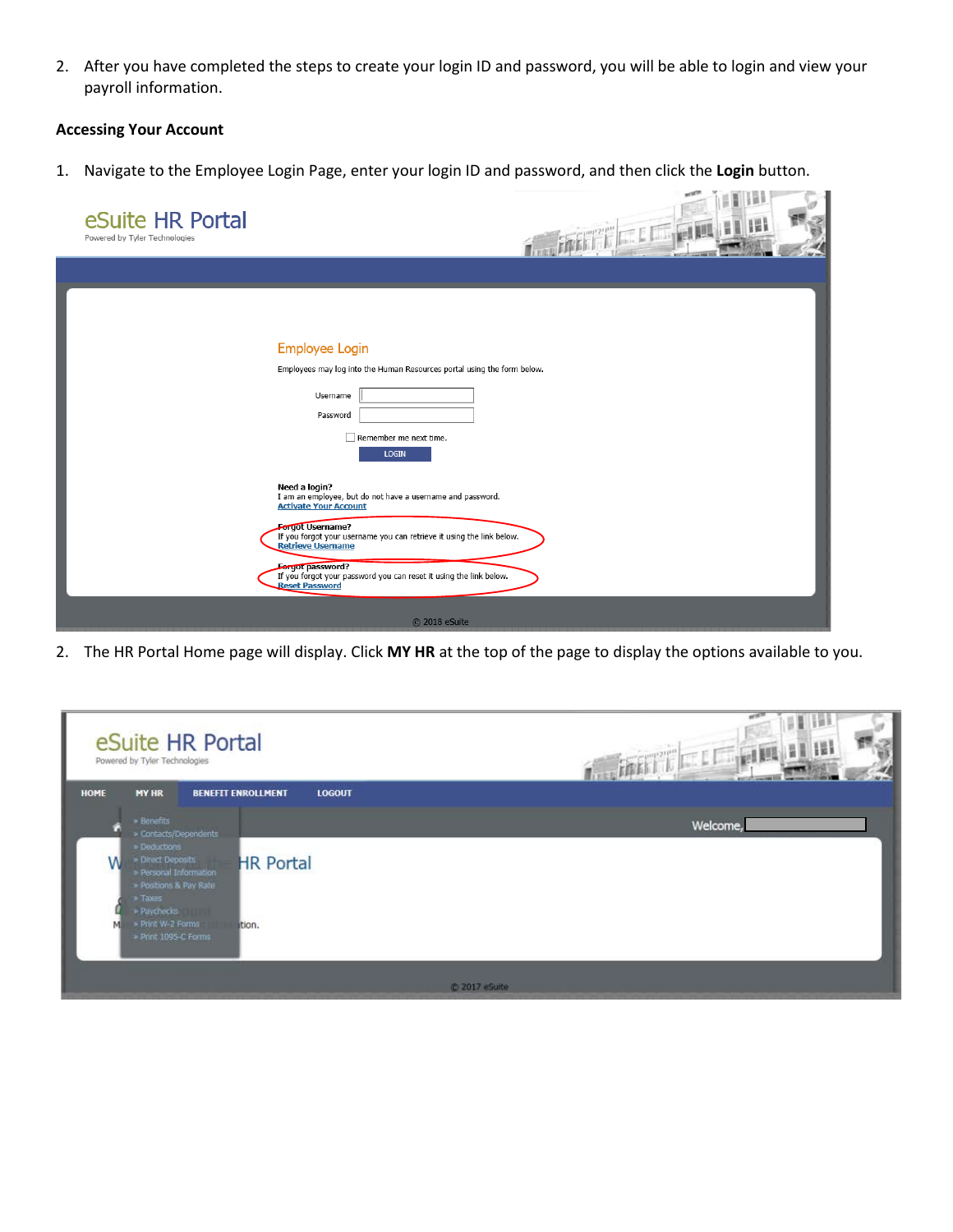2. After you have completed the steps to create your login ID and password, you will be able to login and view your payroll information.

## **Accessing Your Account**

1. Navigate to the Employee Login Page, enter your login ID and password, and then click the **Login** button.

| eSuite HR Portal<br>Powered by Tyler Technologies | <b>TELEVILLE</b>                                                                                                                                                                                                                                                                                                                                                      |
|---------------------------------------------------|-----------------------------------------------------------------------------------------------------------------------------------------------------------------------------------------------------------------------------------------------------------------------------------------------------------------------------------------------------------------------|
|                                                   |                                                                                                                                                                                                                                                                                                                                                                       |
|                                                   | <b>Employee Login</b><br>Employees may log into the Human Resources portal using the form below.<br>Username<br>Password<br>Remember me next time.<br><b>LOGIN</b>                                                                                                                                                                                                    |
|                                                   | Need a login?<br>I am an employee, but do not have a username and password.<br><b>Activate Your Account</b><br><b>Fergot Username?</b><br>If you forgot your username you can retrieve it using the link below.<br><b>Retrieve Username</b><br><b>Forgot password?</b><br>If you forgot your password you can reset it using the link below.<br><b>Reset Password</b> |
|                                                   | C 2018 eSuite                                                                                                                                                                                                                                                                                                                                                         |

2. The HR Portal Home page will display. Click **MY HR** at the top of the page to display the options available to you.

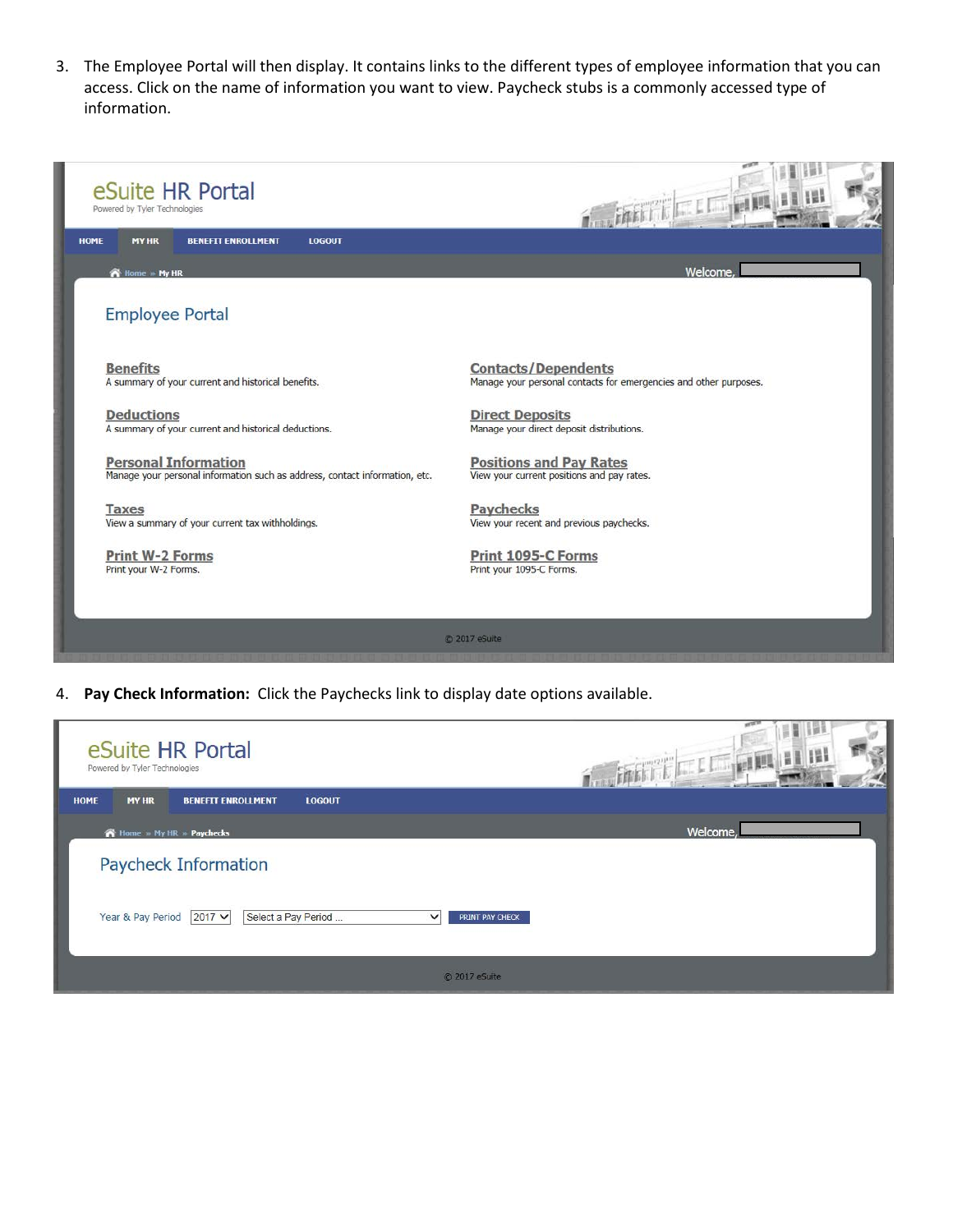3. The Employee Portal will then display. It contains links to the different types of employee information that you can access. Click on the name of information you want to view. Paycheck stubs is a commonly accessed type of information.



4. **Pay Check Information:** Click the Paychecks link to display date options available.

| Powered by Tyler Technologies | eSuite HR Portal                |                     |                                 | <b>Coleman</b> |
|-------------------------------|---------------------------------|---------------------|---------------------------------|----------------|
| <b>MY HR</b><br><b>HOME</b>   | <b>BENEFIT ENROLLMENT</b>       | <b>LOGOUT</b>       |                                 |                |
|                               | <b>THome</b> My HR >> Paychecks |                     |                                 | Welcome,       |
|                               | Paycheck Information            |                     |                                 |                |
| Year & Pay Period             | $2017 \vee$                     | Select a Pay Period | $\checkmark$<br>PRINT PAY CHECK |                |
|                               |                                 |                     | C 2017 eSuite                   |                |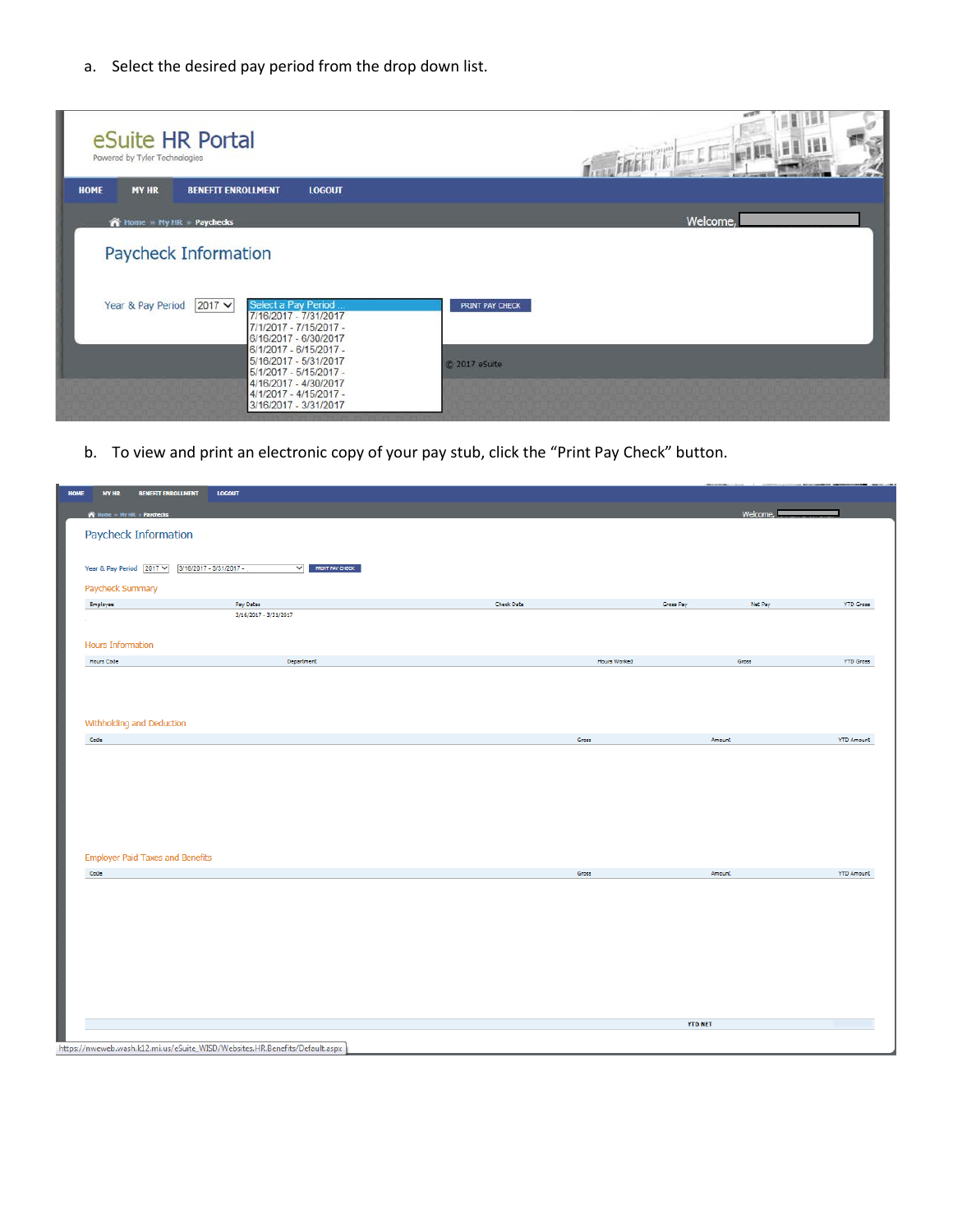a. Select the desired pay period from the drop down list.

| eSuite HR Portal<br>Powered by Tyler Technologies |                                                                                                                                                                                                                                                                         |                                  |
|---------------------------------------------------|-------------------------------------------------------------------------------------------------------------------------------------------------------------------------------------------------------------------------------------------------------------------------|----------------------------------|
| <b>HOME</b><br><b>MY HR</b>                       | <b>BENEFIT ENROLLMENT</b><br><b>LOGOUT</b>                                                                                                                                                                                                                              |                                  |
| A Home - My HR - Paychecks                        |                                                                                                                                                                                                                                                                         | Welcome,                         |
|                                                   | <b>Paycheck Information</b>                                                                                                                                                                                                                                             |                                  |
| Year & Pay Period                                 | $2017 \vee$<br>Select a Pay Period<br>7/16/2017 - 7/31/2017<br>7/1/2017 - 7/15/2017 -<br>6/16/2017 - 6/30/2017<br>6/1/2017 - 6/15/2017 -<br>5/16/2017 - 5/31/2017<br>5/1/2017 - 5/15/2017 -<br>4/16/2017 - 4/30/2017<br>4/1/2017 - 4/15/2017 -<br>3/16/2017 - 3/31/2017 | PRINT PAY CHECK<br>C 2017 eSuite |

b. To view and print an electronic copy of your pay stub, click the "Print Pay Check" button.

| <b>HOME</b> | <b>BENEFIT ENROLLMENT</b><br><b>MY HR</b> | <b>LOGOUT</b>                                                              |                   |                              |                   |
|-------------|-------------------------------------------|----------------------------------------------------------------------------|-------------------|------------------------------|-------------------|
|             | Home > My HR > Paychecks                  |                                                                            |                   | Welcome,                     |                   |
|             | Paycheck Information                      |                                                                            |                   |                              |                   |
|             | Year & Pay Period 2017 V                  | 3/16/2017 - 3/31/2017 -<br><b>V</b> PRINT PAY CHECK                        |                   |                              |                   |
|             | Paycheck Summary                          |                                                                            |                   |                              |                   |
|             | Employee                                  | Pay Dates                                                                  | <b>Check Date</b> | Gross Pay<br>Net Pay         | <b>YTD Gross</b>  |
|             |                                           | 3/16/2017 - 3/31/2017                                                      |                   |                              |                   |
|             | <b>Hours Information</b>                  |                                                                            |                   |                              |                   |
|             | Hours Code                                | Department                                                                 |                   | Gross<br><b>Hours Worked</b> | <b>YTD Gross</b>  |
|             | Withholding and Deduction                 |                                                                            |                   |                              |                   |
|             | Code                                      |                                                                            | Gross             | Amount                       | <b>YTD Amount</b> |
|             |                                           |                                                                            |                   |                              |                   |
|             | <b>Employer Paid Taxes and Benefits</b>   |                                                                            |                   |                              |                   |
|             | Code                                      |                                                                            | Gross             | Amount                       | <b>YTD Amount</b> |
|             |                                           |                                                                            |                   |                              |                   |
|             |                                           |                                                                            |                   | <b>YTD NET</b>               |                   |
|             |                                           | ttps://nweweb.wash.k12.mi.us/eSuite_WISD/Websites.HR.Benefits/Default.aspx |                   |                              |                   |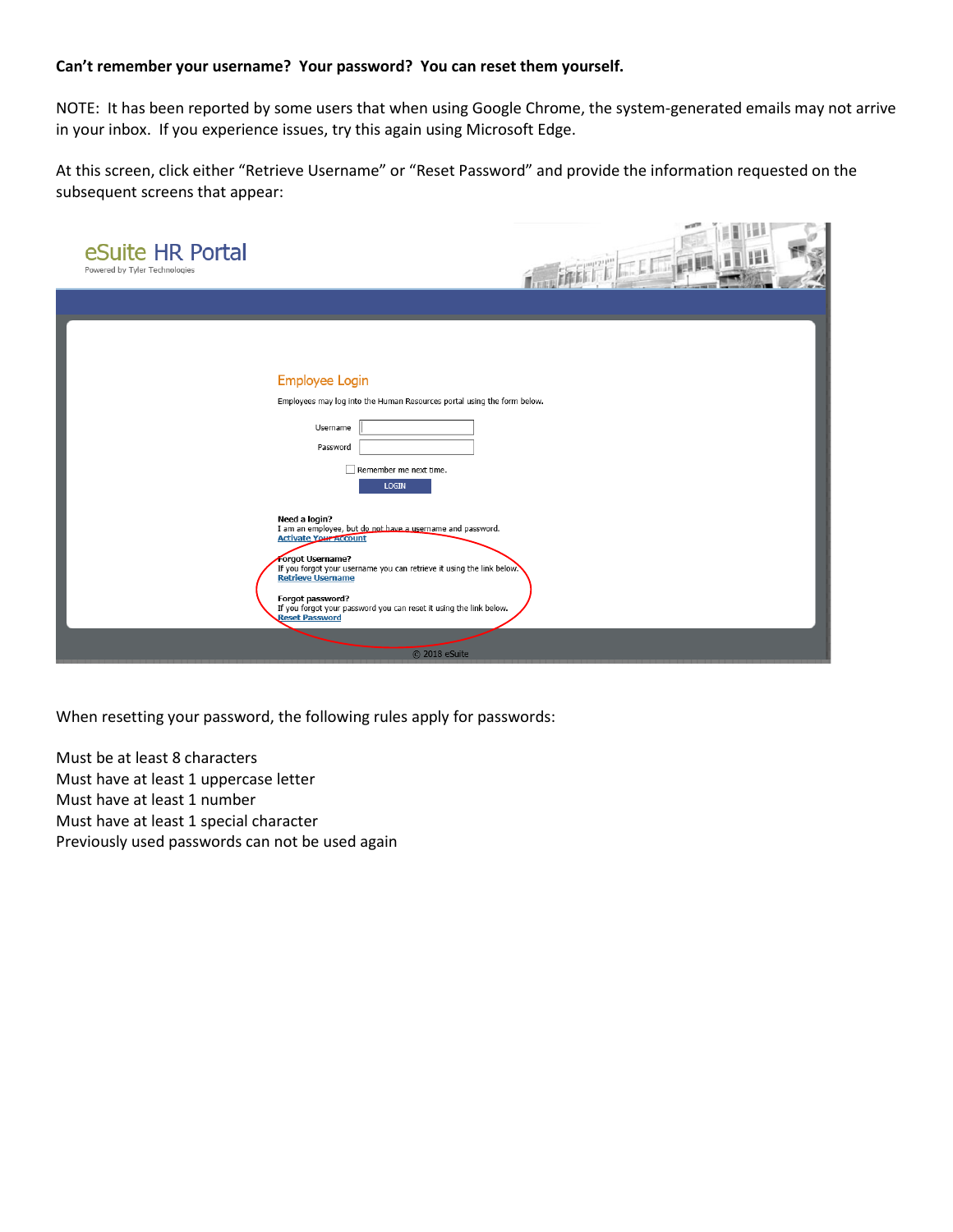## **Can't remember your username? Your password? You can reset them yourself.**

NOTE: It has been reported by some users that when using Google Chrome, the system-generated emails may not arrive in your inbox. If you experience issues, try this again using Microsoft Edge.

At this screen, click either "Retrieve Username" or "Reset Password" and provide the information requested on the subsequent screens that appear:

| eSuite HR Portal<br>Powered by Tyler Technologies | иđ<br>清醒 三年前                                                                                                                                                                                                                                                                                                                                                             |
|---------------------------------------------------|--------------------------------------------------------------------------------------------------------------------------------------------------------------------------------------------------------------------------------------------------------------------------------------------------------------------------------------------------------------------------|
|                                                   |                                                                                                                                                                                                                                                                                                                                                                          |
|                                                   | <b>Employee Login</b><br>Employees may log into the Human Resources portal using the form below.<br>Username<br>Password<br>Remember me next time.<br><b>LOGIN</b>                                                                                                                                                                                                       |
|                                                   | Need a login?<br>I am an employee, but do not have a username and password.<br><b>Activate Your Account</b><br>Forgot Username?<br>If you forgot your username you can retrieve it using the link below.<br><b>Retrieve Username</b><br>Forgot password?<br>If you forgot your password you can reset it using the link below.<br><b>Reset Password</b><br>© 2018 eSuite |

When resetting your password, the following rules apply for passwords:

Must be at least 8 characters Must have at least 1 uppercase letter Must have at least 1 number Must have at least 1 special character Previously used passwords can not be used again